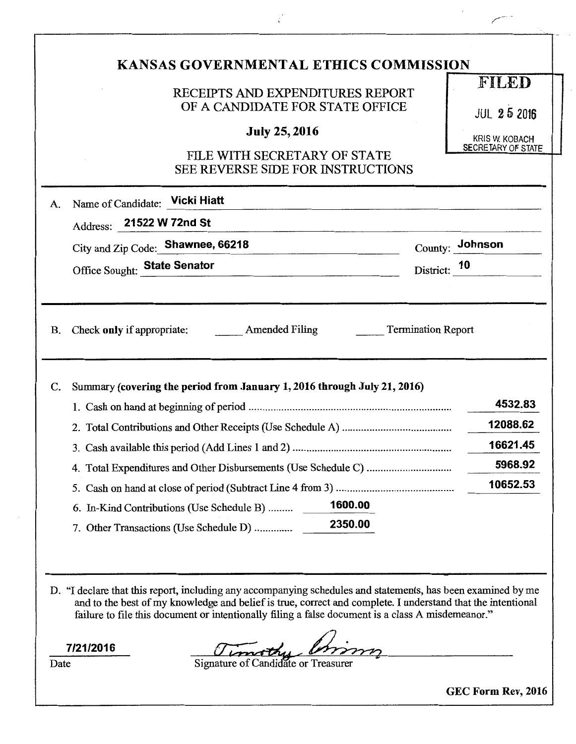|                 | RECEIPTS AND EXPENDITURES REPORT<br>OF A CANDIDATE FOR STATE OFFICE                                                                                               | FILED                                       |
|-----------------|-------------------------------------------------------------------------------------------------------------------------------------------------------------------|---------------------------------------------|
|                 | <b>July 25, 2016</b>                                                                                                                                              | <b>JUL 25 2016</b><br><b>KRIS W. KOBACH</b> |
|                 | FILE WITH SECRETARY OF STATE<br><b>SEE REVERSE SIDE FOR INSTRUCTIONS</b>                                                                                          | SECRETARY OF STATE                          |
| A.              | Name of Candidate: Vicki Hiatt                                                                                                                                    |                                             |
|                 | Address: 21522 W 72nd St<br><u> 1980 - Jan Barnett, fransk politiker (d. 1980)</u>                                                                                |                                             |
|                 | City and Zip Code: Shawnee, 66218                                                                                                                                 | County: Johnson                             |
|                 | Office Sought: State Senator                                                                                                                                      | District: 10                                |
|                 | Check only if appropriate: Amended Filing<br><b>Termination Report</b>                                                                                            |                                             |
|                 | Summary (covering the period from January 1, 2016 through July 21, 2016)                                                                                          | 4532.83                                     |
|                 |                                                                                                                                                                   | 12088.62                                    |
|                 |                                                                                                                                                                   | 16621.45                                    |
| <b>B.</b><br>C. |                                                                                                                                                                   | 5968.92                                     |
|                 |                                                                                                                                                                   | 10652.53                                    |
|                 | 1600.00<br>6. In-Kind Contributions (Use Schedule B)                                                                                                              |                                             |
|                 | 2350.00<br>7. Other Transactions (Use Schedule D)<br>D. "I declare that this report, including any accompanying schedules and statements, has been examined by me |                                             |

 $\frac{1}{4}$ 

GEC Form Rev, 2016

 $\epsilon$ 

 $\overline{\phantom{0}}$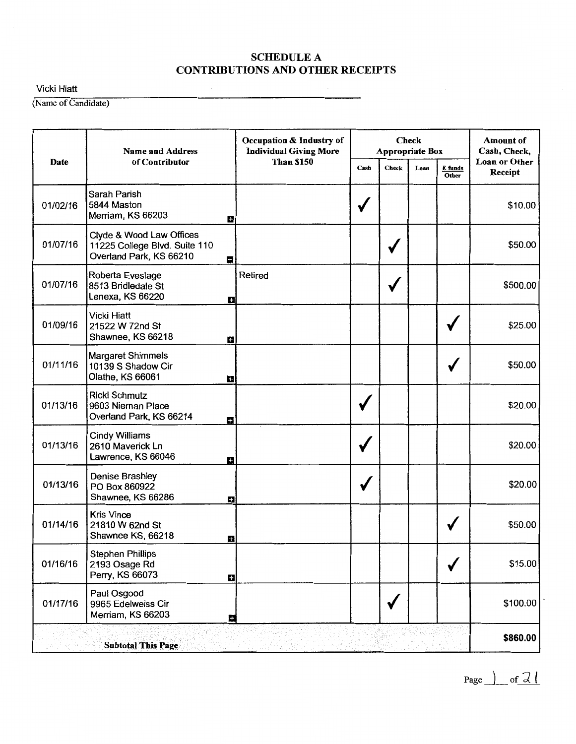Vicki Hiatt

(Name of Candidate)

|          | <b>Name and Address</b>                                                              | Occupation & Industry of<br><b>Individual Giving More</b> |      | <b>Appropriate Box</b> | <b>Check</b> |                  | <b>Amount</b> of<br>Cash, Check, |
|----------|--------------------------------------------------------------------------------------|-----------------------------------------------------------|------|------------------------|--------------|------------------|----------------------------------|
| Date     | of Contributor                                                                       | <b>Than \$150</b>                                         | Cash | <b>Check</b>           | Loan         | E funds<br>Other | <b>Loan or Other</b><br>Receipt  |
| 01/02/16 | Sarah Parish<br>5844 Maston<br>Merriam, KS 66203                                     | n                                                         |      |                        |              |                  | \$10.00                          |
| 01/07/16 | Clyde & Wood Law Offices<br>11225 College Blvd. Suite 110<br>Overland Park, KS 66210 | H.                                                        |      |                        |              |                  | \$50.00                          |
| 01/07/16 | Roberta Eveslage<br>8513 Bridledale St<br>Lenexa, KS 66220                           | Retired<br>H                                              |      |                        |              |                  | \$500.00                         |
| 01/09/16 | <b>Vicki Hiatt</b><br>21522 W 72nd St<br>Shawnee, KS 66218                           | Ш                                                         |      |                        |              |                  | \$25.00                          |
| 01/11/16 | <b>Margaret Shimmels</b><br>10139 S Shadow Cir<br>Olathe, KS 66061                   | u                                                         |      |                        |              | √                | \$50.00                          |
| 01/13/16 | <b>Ricki Schmutz</b><br>9603 Nieman Place<br>Overland Park, KS 66214                 | H                                                         |      |                        |              |                  | \$20.00                          |
| 01/13/16 | <b>Cindy Williams</b><br>2610 Maverick Ln<br>Lawrence, KS 66046                      | ÷                                                         |      |                        |              |                  | \$20.00                          |
| 01/13/16 | Denise Brashley<br>PO Box 860922<br>Shawnee, KS 66286                                | ш                                                         |      |                        |              |                  | \$20.00                          |
| 01/14/16 | <b>Kris Vince</b><br>21810 W 62nd St<br>Shawnee KS, 66218                            | B                                                         |      |                        |              |                  | \$50.00                          |
| 01/16/16 | <b>Stephen Phillips</b><br>2193 Osage Rd<br>Perry, KS 66073                          | $\pm$                                                     |      |                        |              | √                | \$15.00                          |
| 01/17/16 | Paul Osgood<br>9965 Edelweiss Cir<br>Merriam, KS 66203                               | 員                                                         |      |                        |              |                  | \$100.00                         |
|          | <b>Subtotal This Page</b>                                                            |                                                           |      |                        |              |                  | \$860.00                         |

 $Page \nightharpoonup of \nightharpoonup 2$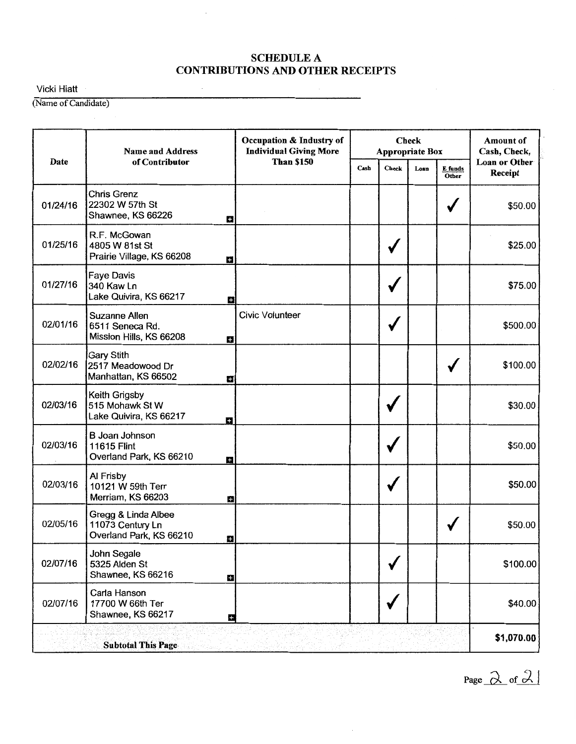Vicki Hiatt

(Name of Candidate)

|          | <b>Name and Address</b>                                                 | Occupation & Industry of<br><b>Individual Giving More</b> |      |              | <b>Check</b><br>Appropriate Box |                  |                          |  |  |
|----------|-------------------------------------------------------------------------|-----------------------------------------------------------|------|--------------|---------------------------------|------------------|--------------------------|--|--|
| Date     | of Contributor                                                          | <b>Than \$150</b>                                         | Cash | <b>Check</b> | Loan                            | E funds<br>Other | Loan or Other<br>Receipt |  |  |
| 01/24/16 | <b>Chris Grenz</b><br>22302 W 57th St<br>Shawnee, KS 66226<br>ĸ         |                                                           |      |              |                                 |                  | \$50.00                  |  |  |
| 01/25/16 | R.F. McGowan<br>4805 W 81st St<br>Prairie Village, KS 66208<br>÷        |                                                           |      |              |                                 |                  | \$25.00                  |  |  |
| 01/27/16 | <b>Faye Davis</b><br>340 Kaw Ln<br>Lake Quivira, KS 66217<br>Ð          |                                                           |      |              |                                 |                  | \$75.00                  |  |  |
| 02/01/16 | <b>Suzanne Allen</b><br>6511 Seneca Rd.<br>Mission Hills, KS 66208<br>Ð | <b>Civic Volunteer</b>                                    |      |              |                                 |                  | \$500.00                 |  |  |
| 02/02/16 | <b>Gary Stith</b><br>2517 Meadowood Dr<br>Manhattan, KS 66502<br>÷      |                                                           |      |              |                                 |                  | \$100.00                 |  |  |
| 02/03/16 | Keith Grigsby<br>515 Mohawk St W<br>Lake Quivira, KS 66217<br>E.        |                                                           |      |              |                                 |                  | \$30.00                  |  |  |
| 02/03/16 | <b>B</b> Joan Johnson<br>11615 Flint<br>Overland Park, KS 66210<br>H    |                                                           |      |              |                                 |                  | \$50.00                  |  |  |
| 02/03/16 | Al Frisby<br>10121 W 59th Terr<br>Merriam, KS 66203<br>H                |                                                           |      |              |                                 |                  | \$50.00                  |  |  |
| 02/05/16 | Gregg & Linda Albee<br>11073 Century Ln<br>Overland Park, KS 66210<br>÷ |                                                           |      |              |                                 |                  | \$50.00                  |  |  |
| 02/07/16 | John Segale<br>5325 Alden St<br>Shawnee, KS 66216<br>Ð                  |                                                           |      |              |                                 |                  | \$100.00                 |  |  |
| 02/07/16 | Carla Hanson<br>17700 W 66th Ter<br>Shawnee, KS 66217<br>E.             |                                                           |      |              |                                 |                  | \$40.00                  |  |  |
|          | <b>Subtotal This Page</b>                                               |                                                           |      |              |                                 |                  | \$1,070.00               |  |  |

Page  $\lambda$  of  $\lambda$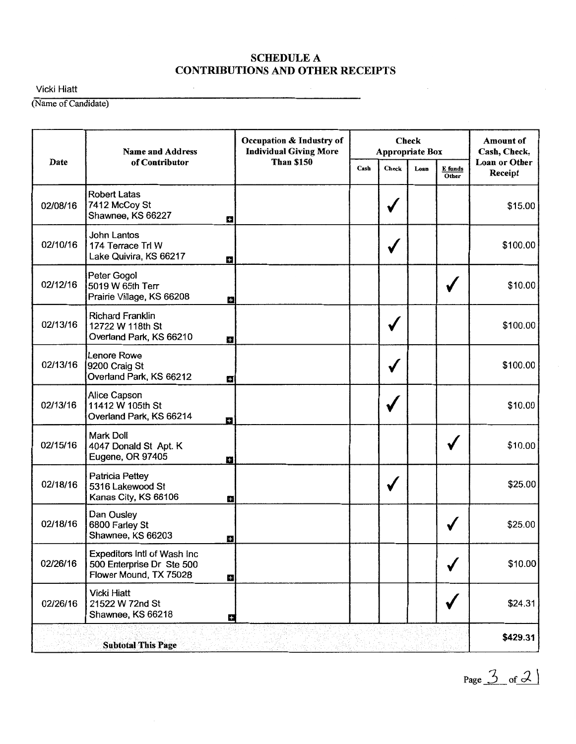Vicki Hiatt

(Name of Candidate)

|          | <b>Name and Address</b>                                                            | Occupation & Industry of<br><b>Individual Giving More</b> |      |       | <b>Check</b><br>Appropriate Box |                  | <b>Amount of</b><br>Cash, Check, |
|----------|------------------------------------------------------------------------------------|-----------------------------------------------------------|------|-------|---------------------------------|------------------|----------------------------------|
| Date     | of Contributor                                                                     | <b>Than \$150</b>                                         | Cash | Check | Loan                            | E funds<br>Other | Loan or Other<br>Receipt         |
| 02/08/16 | <b>Robert Latas</b><br>7412 McCoy St<br>Shawnee, KS 66227                          | ш                                                         |      |       |                                 |                  | \$15.00                          |
| 02/10/16 | John Lantos<br>174 Terrace Trl W<br>Lake Quivira, KS 66217                         | H                                                         |      |       |                                 |                  | \$100.00                         |
| 02/12/16 | Peter Gogol<br>5019 W 65th Terr<br>Prairie Village, KS 66208                       | ш                                                         |      |       |                                 |                  | \$10.00                          |
| 02/13/16 | <b>Richard Franklin</b><br>12722 W 118th St<br>Overland Park, KS 66210             | Ω                                                         |      |       |                                 |                  | \$100.00                         |
| 02/13/16 | Lenore Rowe<br>9200 Craig St<br>Overland Park, KS 66212                            | a                                                         |      |       |                                 |                  | \$100.00                         |
| 02/13/16 | Alice Capson<br>11412 W 105th St<br>Overland Park, KS 66214                        | Н                                                         |      |       |                                 |                  | \$10.00                          |
| 02/15/16 | Mark Doll<br>4047 Donald St Apt. K<br>Eugene, OR 97405                             | H                                                         |      |       |                                 |                  | \$10.00                          |
| 02/18/16 | Patricia Pettey<br>5316 Lakewood St<br>Kanas City, KS 66106                        | B                                                         |      |       |                                 |                  | \$25.00                          |
| 02/18/16 | Dan Ousley<br>6800 Farley St<br>Shawnee, KS 66203                                  | B                                                         |      |       |                                 |                  | \$25.00                          |
| 02/26/16 | Expeditors Intl of Wash Inc<br>500 Enterprise Dr Ste 500<br>Flower Mound, TX 75028 | $\pm$                                                     |      |       |                                 | √                | \$10.00                          |
| 02/26/16 | <b>Vicki Hiatt</b><br>21522 W 72nd St<br>Shawnee, KS 66218                         | H                                                         |      |       |                                 |                  | \$24.31                          |
|          | <b>Subtotal This Page</b>                                                          |                                                           |      |       |                                 |                  | \$429.31                         |

Page  $\frac{3}{2}$  of  $\frac{3}{2}$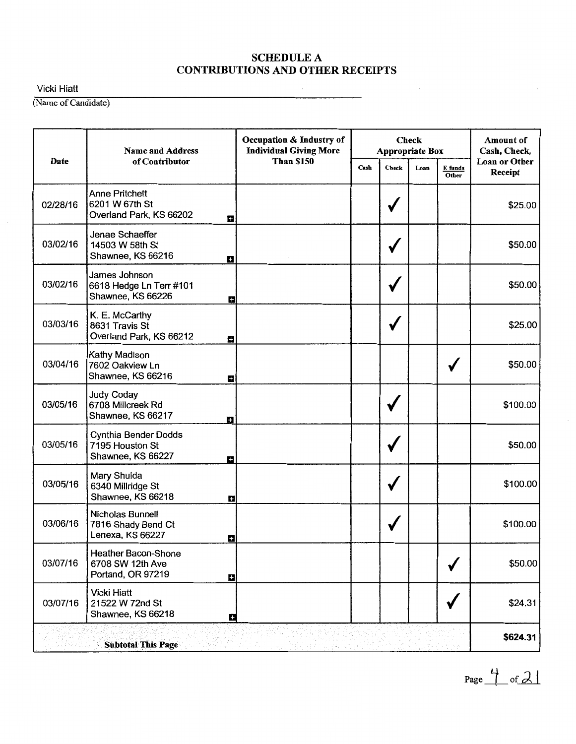Vicki Hiatt

(Name of Candidate)

|          | <b>Name and Address</b>                                                 | Occupation & Industry of<br><b>Individual Giving More</b> |      |       | <b>Check</b><br>Appropriate Box |                  | Amount of<br>Cash, Check,       |
|----------|-------------------------------------------------------------------------|-----------------------------------------------------------|------|-------|---------------------------------|------------------|---------------------------------|
| Date     | of Contributor                                                          | <b>Than \$150</b>                                         | Cash | Check | Loan                            | E funds<br>Other | <b>Loan or Other</b><br>Receipt |
| 02/28/16 | <b>Anne Pritchett</b><br>6201 W 67th St<br>Overland Park, KS 66202<br>H |                                                           |      | v     |                                 |                  | \$25.00                         |
| 03/02/16 | Jenae Schaeffer<br>14503 W 58th St<br>Shawnee, KS 66216<br>n            |                                                           |      |       |                                 |                  | \$50.00                         |
| 03/02/16 | James Johnson<br>6618 Hedge Ln Terr #101<br>Shawnee, KS 66226<br>Ð      |                                                           |      |       |                                 |                  | \$50.00                         |
| 03/03/16 | K. E. McCarthy<br>8631 Travis St<br>Overland Park, KS 66212<br>H        |                                                           |      |       |                                 |                  | \$25.00                         |
| 03/04/16 | Kathy Madison<br>7602 Oakview Ln<br>Shawnee, KS 66216<br>a              |                                                           |      |       |                                 |                  | \$50.00                         |
| 03/05/16 | <b>Judy Coday</b><br>6708 Millcreek Rd<br>Shawnee, KS 66217<br>н        |                                                           |      |       |                                 |                  | \$100.00                        |
| 03/05/16 | Cynthia Bender Dodds<br>7195 Houston St<br>Shawnee, KS 66227<br>в       |                                                           |      |       |                                 |                  | \$50.00                         |
| 03/05/16 | Mary Shulda<br>6340 Millridge St<br>Shawnee, KS 66218<br>Ð              |                                                           |      |       |                                 |                  | \$100.00                        |
| 03/06/16 | Nicholas Bunnell<br>7816 Shady Bend Ct<br>Lenexa, KS 66227<br>Ð         |                                                           |      |       |                                 |                  | \$100.00                        |
| 03/07/16 | Heather Bacon-Shone<br>6708 SW 12th Ave<br>Portand, OR 97219<br>Ŧ       |                                                           |      |       |                                 | √                | \$50.00                         |
| 03/07/16 | <b>Vicki Hiatt</b><br>21522 W 72nd St<br>Shawnee, KS 66218<br>E         |                                                           |      |       |                                 |                  | \$24.31                         |
|          | <b>Subtotal This Page</b>                                               |                                                           |      |       |                                 |                  | \$624.31                        |

Page  $\frac{1}{\sqrt{2}}$  of  $\frac{2}{\sqrt{2}}$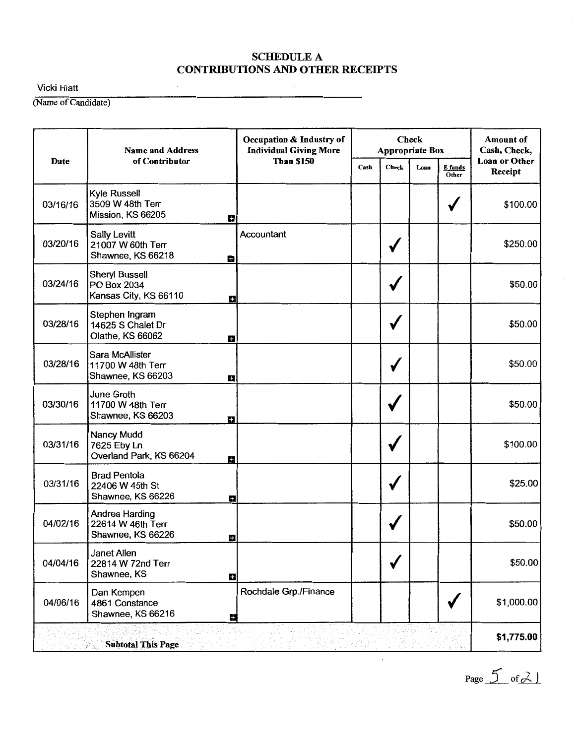Vicki Hiatt

(Name of Candidate)

|          | <b>Name and Address</b>                                                  | Occupation & Industry of<br><b>Individual Giving More</b> |      | <b>Appropriate Box</b> | <b>Check</b> |                  | <b>Amount of</b><br>Cash, Check, |
|----------|--------------------------------------------------------------------------|-----------------------------------------------------------|------|------------------------|--------------|------------------|----------------------------------|
| Date     | of Contributor                                                           | <b>Than \$150</b>                                         | Cash | Check                  | Loan         | E funds<br>Other | <b>Loan or Other</b><br>Receipt  |
| 03/16/16 | <b>Kyle Russell</b><br>3509 W 48th Terr<br>Mission, KS 66205<br>a        |                                                           |      |                        |              |                  | \$100.00                         |
| 03/20/16 | <b>Sally Levitt</b><br>21007 W 60th Terr<br>Shawnee, KS 66218<br>Ш       | Accountant                                                |      |                        |              |                  | \$250.00                         |
| 03/24/16 | <b>Sheryl Bussell</b><br>PO Box 2034<br>Kansas City, KS 66110<br>g       |                                                           |      |                        |              |                  | \$50.00                          |
| 03/28/16 | Stephen Ingram<br>14625 S Chalet Dr<br>Olathe, KS 66062<br>E.            |                                                           |      |                        |              |                  | \$50.00                          |
| 03/28/16 | Sara McAllister<br>11700 W 48th Terr<br>Shawnee, KS 66203<br>B           |                                                           |      |                        |              |                  | \$50.00                          |
| 03/30/16 | June Groth<br>11700 W 48th Terr<br>Shawnee, KS 66203<br>в                |                                                           |      |                        |              |                  | \$50.00                          |
| 03/31/16 | Nancy Mudd<br>7625 Eby Ln<br>Overland Park, KS 66204<br>H                |                                                           |      |                        |              |                  | \$100.00                         |
| 03/31/16 | <b>Brad Pentola</b><br>22406 W 45th St<br>Shawnee, KS 66226<br>E٦        |                                                           |      |                        |              |                  | \$25.00                          |
| 04/02/16 | Andrea Harding<br>22614 W 46th Terr<br>Shawnee, KS 66226<br>H            |                                                           |      |                        |              |                  | \$50.00                          |
| 04/04/16 | <b>Janet Allen</b><br>22814 W 72nd Terr<br>Shawnee, KS<br>$\blacksquare$ |                                                           |      |                        |              |                  | \$50.00                          |
| 04/06/16 | Dan Kempen<br>4861 Constance<br>Shawnee, KS 66216<br>æ                   | Rochdale Grp./Finance                                     |      |                        |              |                  | \$1,000.00                       |
|          | <b>Subtotal This Page</b>                                                |                                                           |      |                        |              |                  | \$1,775.00                       |

Page  $5$  of  $2$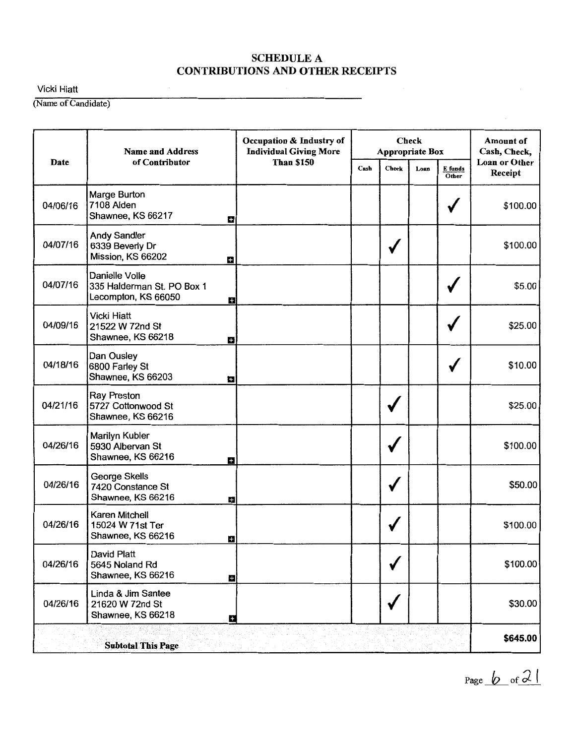Vicki Hiatt

(Name of Candidate)

|          | <b>Name and Address</b>                                             | Occupation & Industry of<br><b>Individual Giving More</b> |      |              | <b>Check</b><br><b>Appropriate Box</b> |                  | <b>Amount of</b><br>Cash, Check, |
|----------|---------------------------------------------------------------------|-----------------------------------------------------------|------|--------------|----------------------------------------|------------------|----------------------------------|
| Date     | of Contributor                                                      | <b>Than \$150</b>                                         | Cash | <b>Check</b> | Loan                                   | E funds<br>Other | <b>Loan or Other</b><br>Receipt  |
| 04/06/16 | Marge Burton<br>7108 Alden<br>Shawnee, KS 66217<br>÷                |                                                           |      |              |                                        |                  | \$100.00                         |
| 04/07/16 | <b>Andy Sandler</b><br>6339 Beverly Dr<br>Mission, KS 66202<br>d.   |                                                           |      |              |                                        |                  | \$100.00                         |
| 04/07/16 | Danielle Volle<br>335 Halderman St. PO Box 1<br>Lecompton, KS 66050 | Ð                                                         |      |              |                                        |                  | \$5.00                           |
| 04/09/16 | <b>Vicki Hiatt</b><br>21522 W 72nd St<br>Shawnee, KS 66218<br>B     |                                                           |      |              |                                        |                  | \$25.00                          |
| 04/18/16 | Dan Ousley<br>6800 Farley St<br>Shawnee, KS 66203<br>O              |                                                           |      |              |                                        |                  | \$10.00                          |
| 04/21/16 | <b>Ray Preston</b><br>5727 Cottonwood St<br>Shawnee, KS 66216       |                                                           |      |              |                                        |                  | \$25.00                          |
| 04/26/16 | Marilyn Kubler<br>5930 Albervan St<br>Shawnee, KS 66216<br>÷        |                                                           |      |              |                                        |                  | \$100.00                         |
| 04/26/16 | George Skells<br>7420 Constance St<br>Shawnee, KS 66216             | H                                                         |      |              |                                        |                  | \$50.00                          |
| 04/26/16 | Karen Mitchell<br>15024 W 71st Ter<br>Shawnee, KS 66216<br>Н        |                                                           |      |              |                                        |                  | \$100.00                         |
| 04/26/16 | David Platt<br>5645 Noland Rd<br>Shawnee, KS 66216<br>E             |                                                           |      |              |                                        |                  | \$100.00                         |
| 04/26/16 | Linda & Jim Santee<br>21620 W 72nd St<br>Shawnee, KS 66218          | Е                                                         |      |              |                                        |                  | \$30.00                          |
|          | <b>Subtotal This Page</b>                                           |                                                           |      |              |                                        |                  | \$645.00                         |

Page  $\sqrt{2}$  of  $2$  (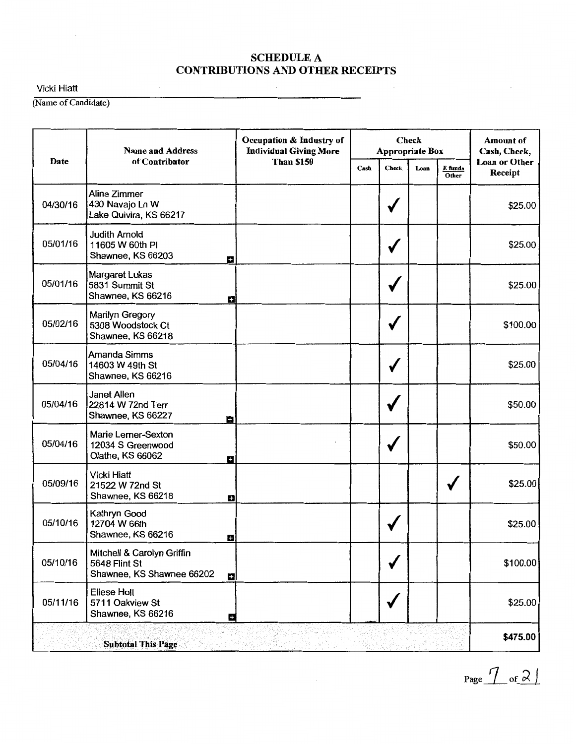Vicki Hiatt

(Name of Candidate)

|          | <b>Name and Address</b>                                                       | Occupation & Industry of<br><b>Individual Giving More</b> |      |              | <b>Check</b><br>Appropriate Box |                  | <b>Amount</b> of<br>Cash, Check, |
|----------|-------------------------------------------------------------------------------|-----------------------------------------------------------|------|--------------|---------------------------------|------------------|----------------------------------|
| Date     | of Contributor                                                                | <b>Than \$150</b>                                         | Cash | <b>Check</b> | Loan                            | E funds<br>Other | <b>Loan or Other</b><br>Receipt  |
| 04/30/16 | <b>Aline Zimmer</b><br>430 Navajo Ln W<br>Lake Quivira, KS 66217              |                                                           |      | ✔            |                                 |                  | \$25.00                          |
| 05/01/16 | <b>Judith Arnold</b><br>11605 W 60th PI<br>Shawnee, KS 66203<br>H             |                                                           |      |              |                                 |                  | \$25.00                          |
| 05/01/16 | Margaret Lukas<br>5831 Summit St<br>Shawnee, KS 66216<br>Ð                    |                                                           |      |              |                                 |                  | \$25.00                          |
| 05/02/16 | Marilyn Gregory<br>5308 Woodstock Ct<br>Shawnee, KS 66218                     |                                                           |      |              |                                 |                  | \$100.00                         |
| 05/04/16 | Amanda Simms<br>14603 W 49th St<br>Shawnee, KS 66216                          |                                                           |      |              |                                 |                  | \$25.00                          |
| 05/04/16 | Janet Allen<br>22814 W 72nd Terr<br>Shawnee, KS 66227<br>Н                    |                                                           |      |              |                                 |                  | \$50.00                          |
| 05/04/16 | Marie Lerner-Sexton<br>12034 S Greenwood<br>Olathe, KS 66062<br>÷             |                                                           |      |              |                                 |                  | \$50.00                          |
| 05/09/16 | <b>Vicki Hiatt</b><br>21522 W 72nd St<br>Shawnee, KS 66218<br>H               |                                                           |      |              |                                 |                  | \$25.00                          |
| 05/10/16 | Kathryn Good<br>12704 W 66th<br>Shawnee, KS 66216<br>в                        |                                                           |      |              |                                 |                  | \$25.00                          |
| 05/10/16 | Mitchell & Carolyn Griffin<br>5648 Flint St<br>Shawnee, KS Shawnee 66202<br>冒 |                                                           |      |              |                                 |                  | \$100.00                         |
| 05/11/16 | Eliese Holt<br>5711 Oakview St<br>Shawnee, KS 66216<br>в                      |                                                           |      |              |                                 |                  | \$25.00                          |
|          | <b>Subtotal This Page</b>                                                     |                                                           |      |              |                                 |                  | \$475.00                         |

 $Page$   $To$  of  $2$   $)$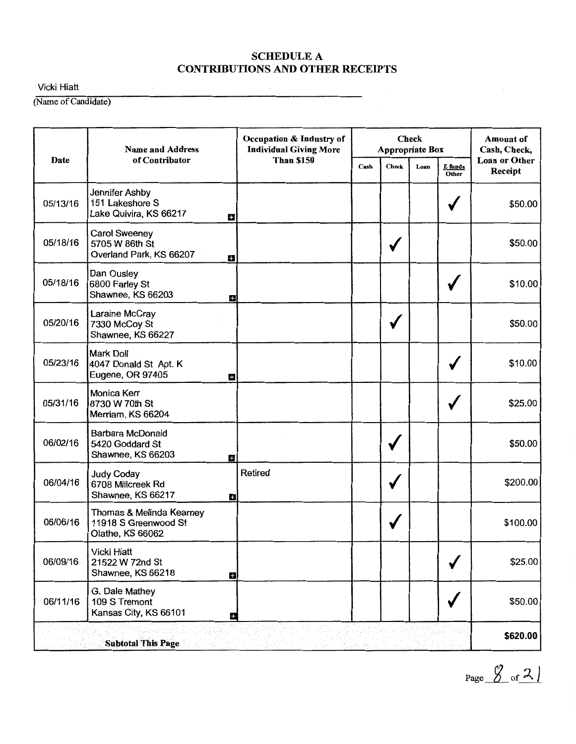Vicki Hiatt

(Name of Candidate)

|             | <b>Name and Address</b>                                              | Occupation & Industry of<br><b>Individual Giving More</b> |      | <b>Appropriate Box</b> | <b>Check</b> |                  | Amount of<br>Cash, Check,       |
|-------------|----------------------------------------------------------------------|-----------------------------------------------------------|------|------------------------|--------------|------------------|---------------------------------|
| <b>Date</b> | of Contributor                                                       | <b>Than \$150</b>                                         | Cash | <b>Check</b>           | Loan         | E funds<br>Other | <b>Loan or Other</b><br>Receipt |
| 05/13/16    | Jennifer Ashby<br>151 Lakeshore S<br>Lake Quivira, KS 66217          | Ш                                                         |      |                        |              |                  | \$50.00                         |
| 05/18/16    | <b>Carol Sweeney</b><br>5705 W 86th St<br>Overland Park, KS 66207    | ш                                                         |      |                        |              |                  | \$50.00                         |
| 05/18/16    | Dan Ousley<br>6800 Farley St<br>Shawnee, KS 66203                    | ÷                                                         |      |                        |              |                  | \$10.00                         |
| 05/20/16    | Laraine McCray<br>7330 McCoy St<br>Shawnee, KS 66227                 |                                                           |      |                        |              |                  | \$50.00                         |
| 05/23/16    | <b>Mark Doll</b><br>4047 Donald St Apt. K<br>Eugene, OR 97405        | ÷                                                         |      |                        |              |                  | \$10.00                         |
| 05/31/16    | <b>Monica Kerr</b><br>8730 W 70th St<br>Merriam, KS 66204            |                                                           |      |                        |              |                  | \$25.00                         |
| 06/02/16    | Barbara McDonald<br>5420 Goddard St<br>Shawnee, KS 66203             | o                                                         |      | √                      |              |                  | \$50.00                         |
| 06/04/16    | <b>Judy Coday</b><br>6708 Millcreek Rd<br>Shawnee, KS 66217          | Retired<br>$+$                                            |      |                        |              |                  | \$200.00                        |
| 06/06/16    | Thomas & Melinda Kearney<br>11918 S Greenwood St<br>Olathe, KS 66062 |                                                           |      |                        |              |                  | \$100.00                        |
| 06/09/16    | <b>Vicki Hiatt</b><br>21522 W 72nd St<br>Shawnee, KS 66218           | $\mathbf{H}$                                              |      |                        |              |                  | \$25.00                         |
| 06/11/16    | G. Dale Mathey<br>109 S Tremont<br>Kansas City, KS 66101             | $+$                                                       |      |                        |              |                  | \$50.00                         |
|             | <b>Subtotal This Page</b>                                            |                                                           |      |                        |              |                  | \$620.00                        |

 $Page \frac{\cancel{0}^2}{\cancel{0}^2}$  of  $\frac{2}{\cancel{0}^2}$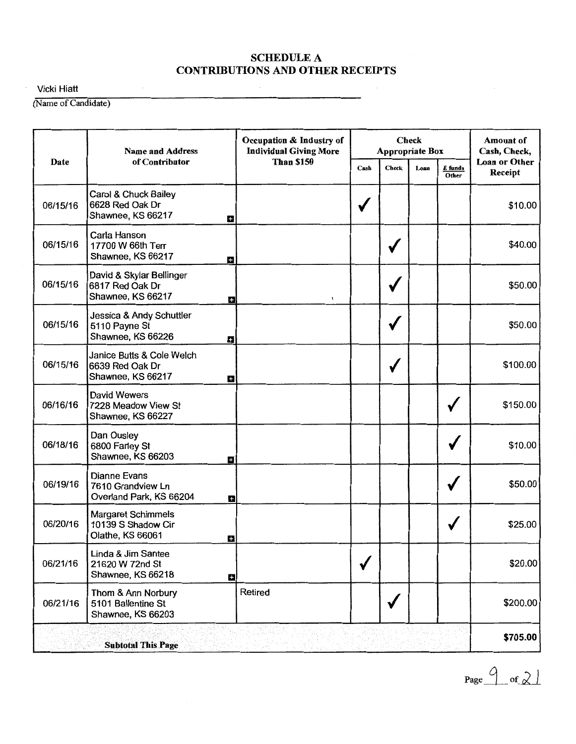Vicki Hiatt

(Name of Candidate)

|          | <b>Name and Address</b>                                                  | Occupation & Industry of<br><b>Individual Giving More</b> |      | <b>Appropriate Box</b> | <b>Check</b> |                  | <b>Amount of</b><br>Cash, Check, |
|----------|--------------------------------------------------------------------------|-----------------------------------------------------------|------|------------------------|--------------|------------------|----------------------------------|
| Date     | of Contributor                                                           | <b>Than \$150</b>                                         | Cash | <b>Check</b>           | Loan         | E funds<br>Other | <b>Loan or Other</b><br>Receipt  |
| 06/15/16 | Carol & Chuck Bailey<br>6628 Red Oak Dr<br>Shawnee, KS 66217<br>B        |                                                           |      |                        |              |                  | \$10.00                          |
| 06/15/16 | Carla Hanson<br>17700 W 66th Terr<br>Shawnee, KS 66217<br>$\mathbf{r}$   |                                                           |      |                        |              |                  | \$40.00                          |
| 06/15/16 | David & Skylar Bellinger<br>6817 Red Oak Dr<br>Shawnee, KS 66217<br>E۰   | 1                                                         |      |                        |              |                  | \$50.00                          |
| 06/15/16 | Jessica & Andy Schuttler<br>5110 Payne St<br>Shawnee, KS 66226<br>Е      |                                                           |      |                        |              |                  | \$50.00                          |
| 06/15/16 | Janice Butts & Cole Welch<br>6639 Red Oak Dr<br>Shawnee, KS 66217<br>B   |                                                           |      |                        |              |                  | \$100.00                         |
| 06/16/16 | <b>David Wewers</b><br>7228 Meadow View St<br>Shawnee, KS 66227          |                                                           |      |                        |              |                  | \$150.00                         |
| 06/18/16 | Dan Ousley<br>6800 Farley St<br>Shawnee, KS 66203<br>÷                   |                                                           |      |                        |              |                  | \$10.00                          |
| 06/19/16 | <b>Dianne Evans</b><br>7610 Grandview Ln<br>Overland Park, KS 66204<br>H |                                                           |      |                        |              |                  | \$50.00                          |
| 06/20/16 | Margaret Schimmels<br>10139 S Shadow Cir<br>Olathe, KS 66061<br>B        |                                                           |      |                        |              |                  | \$25.00                          |
| 06/21/16 | Linda & Jim Santee<br>21620 W 72nd St<br>Shawnee, KS 66218<br>Ы          |                                                           |      |                        |              |                  | \$20.00                          |
| 06/21/16 | Thom & Ann Norbury<br>5101 Ballentine St<br>Shawnee, KS 66203            | Retired                                                   |      |                        |              |                  | \$200.00                         |
|          | <b>Subtotal This Page</b>                                                |                                                           |      |                        |              |                  | \$705.00                         |

Page  $\frac{9}{\text{of2}}$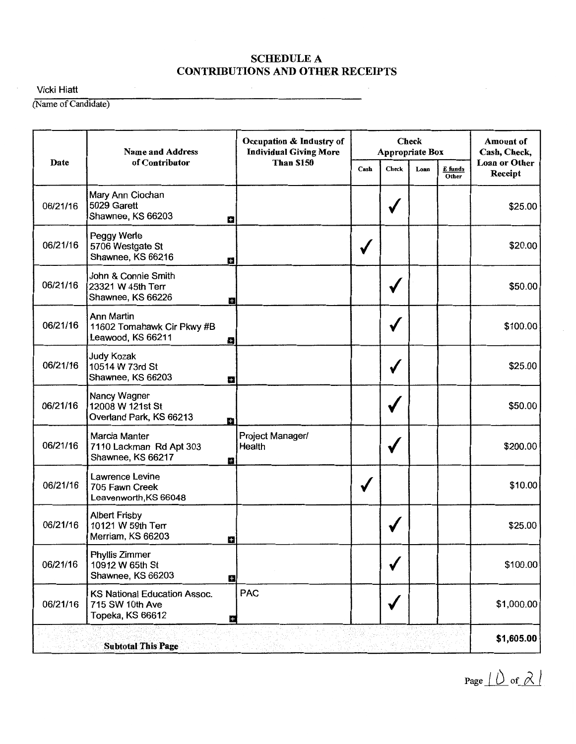Vicki Hiatt

(Name of Candidate)

|          | <b>Name and Address</b>                                             | Occupation & Industry of<br><b>Individual Giving More</b> |      | <b>Check</b><br>Appropriate Box | <b>Amount of</b><br>Cash, Check,<br><b>Loan or Other</b> |                  |            |
|----------|---------------------------------------------------------------------|-----------------------------------------------------------|------|---------------------------------|----------------------------------------------------------|------------------|------------|
| Date     | of Contributor                                                      | <b>Than \$150</b>                                         | Cash | <b>Check</b>                    | Loan                                                     | E funds<br>Other | Receipt    |
| 06/21/16 | Mary Ann Ciochan<br>5029 Garett<br>Shawnee, KS 66203                | B                                                         |      | v                               |                                                          |                  | \$25.00    |
| 06/21/16 | Peggy Werle<br>5706 Westgate St<br>Shawnee, KS 66216                | H                                                         |      |                                 |                                                          |                  | \$20.00    |
| 06/21/16 | John & Connie Smith<br>23321 W 45th Terr<br>Shawnee, KS 66226       | o                                                         |      |                                 |                                                          |                  | \$50.00    |
| 06/21/16 | Ann Martin<br>11602 Tomahawk Cir Pkwy #B<br>Leawood, KS 66211       | в                                                         |      |                                 |                                                          |                  | \$100.00   |
| 06/21/16 | <b>Judy Kozak</b><br>10514 W 73rd St<br>Shawnee, KS 66203           | п                                                         |      |                                 |                                                          |                  | \$25.00    |
| 06/21/16 | Nancy Wagner<br>12008 W 121st St<br>Overland Park, KS 66213         | е                                                         |      |                                 |                                                          |                  | \$50.00    |
| 06/21/16 | Marcia Manter<br>7110 Lackman Rd Apt 303<br>Shawnee, KS 66217       | Project Manager/<br>Health<br>в                           |      |                                 |                                                          |                  | \$200.00   |
| 06/21/16 | Lawrence Levine<br>705 Fawn Creek<br>Leavenworth, KS 66048          |                                                           |      |                                 |                                                          |                  | \$10.00    |
| 06/21/16 | <b>Albert Frisby</b><br>10121 W 59th Terr<br>Merriam, KS 66203      | ٠                                                         |      |                                 |                                                          |                  | \$25.00    |
| 06/21/16 | Phyllis Zimmer<br>10912 W 65th St<br>Shawnee, KS 66203              | $\overline{\mathbf{u}}$                                   |      |                                 |                                                          |                  | \$100.00   |
| 06/21/16 | KS National Education Assoc.<br>715 SW 10th Ave<br>Topeka, KS 66612 | <b>PAC</b><br>E                                           |      |                                 |                                                          |                  | \$1,000.00 |
|          | <b>Subtotal This Page</b>                                           |                                                           |      |                                 |                                                          |                  | \$1,605.00 |

Page  $\perp$   $\circ$  of  $\lambda$   $\parallel$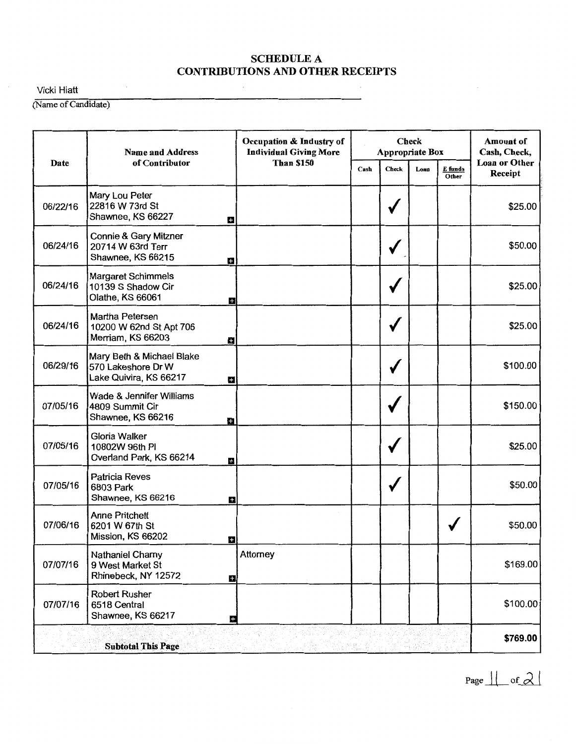Vicki Hiatt

(Name of Candidate)

|          | <b>Name and Address</b>                                                        | Occupation & Industry of<br><b>Individual Giving More</b> |      |              |       | <b>Check</b><br>Appropriate Box |                                 |  |  |  |
|----------|--------------------------------------------------------------------------------|-----------------------------------------------------------|------|--------------|-------|---------------------------------|---------------------------------|--|--|--|
| Date     | of Contributor                                                                 | <b>Than \$150</b>                                         | Cash | <b>Check</b> | Loan  | E funds<br>Other                | <b>Loan or Other</b><br>Receipt |  |  |  |
| 06/22/16 | Mary Lou Peter<br>22816 W 73rd St<br>Shawnee, KS 66227<br>t.                   |                                                           |      | √            |       |                                 | \$25.00                         |  |  |  |
| 06/24/16 | Connie & Gary Mitzner<br>20714 W 63rd Terr<br>Shawnee, KS 66215<br>H           |                                                           |      |              |       |                                 | \$50.00                         |  |  |  |
| 06/24/16 | <b>Margaret Schimmels</b><br>10139 S Shadow Cir<br>Olathe, KS 66061<br>в       |                                                           |      |              |       |                                 | \$25.00                         |  |  |  |
| 06/24/16 | Martha Petersen<br>10200 W 62nd St Apt 706<br>Merriam, KS 66203<br>Ð           |                                                           |      |              |       |                                 | \$25.00                         |  |  |  |
| 06/29/16 | Mary Beth & Michael Blake<br>570 Lakeshore Dr W<br>Lake Quivira, KS 66217<br>е |                                                           |      |              |       |                                 | \$100.00                        |  |  |  |
| 07/05/16 | Wade & Jennifer Williams<br>4809 Summit Cir<br>Shawnee, KS 66216<br>o          |                                                           |      |              |       |                                 | \$150.00                        |  |  |  |
| 07/05/16 | Gloria Walker<br>10802W 96th PI<br>Overland Park, KS 66214<br>÷                |                                                           |      | $\checkmark$ |       |                                 | \$25.00                         |  |  |  |
| 07/05/16 | <b>Patricia Reves</b><br>6803 Park<br>Shawnee, KS 66216<br>H                   |                                                           |      | √            |       |                                 | \$50.00                         |  |  |  |
| 07/06/16 | <b>Anne Pritchett</b><br>6201 W 67th St<br>Mission, KS 66202<br>E              |                                                           |      |              |       |                                 | \$50.00                         |  |  |  |
| 07/07/16 | Nathaniel Charny<br>9 West Market St<br>Rhinebeck, NY 12572                    | Attorney<br>е                                             |      |              |       |                                 | \$169.00                        |  |  |  |
| 07/07/16 | <b>Robert Rusher</b><br>6518 Central<br>Shawnee, KS 66217                      | æ                                                         |      |              |       |                                 | \$100.00                        |  |  |  |
|          | <b>Subtotal This Page</b>                                                      |                                                           |      |              | 成果名腹喉 |                                 | \$769.00                        |  |  |  |

Page  $\parallel$  of  $\lambda$  !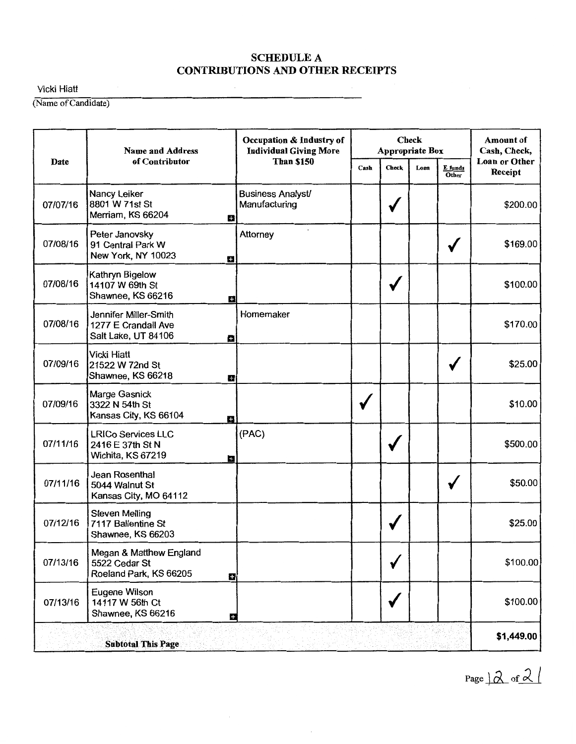Vicki Hiatt

(Name of Candidate)

|          | <b>Name and Address</b>                                             |               | Occupation & Industry of<br><b>Individual Giving More</b> |      |              | <b>Check</b><br>Appropriate Box |                  | <b>Amount</b> of<br>Cash, Check,<br>Loan or Other<br>Receipt<br>\$200.00<br>\$169.00<br>\$100.00<br>\$170.00<br>\$25.00<br>\$10.00<br>\$500.00<br>\$50.00<br>\$25.00 |
|----------|---------------------------------------------------------------------|---------------|-----------------------------------------------------------|------|--------------|---------------------------------|------------------|----------------------------------------------------------------------------------------------------------------------------------------------------------------------|
| Date     | of Contributor                                                      |               | <b>Than \$150</b>                                         | Cash | <b>Check</b> | Loan                            | E funds<br>Other |                                                                                                                                                                      |
| 07/07/16 | Nancy Leiker<br>8801 W 71st St<br>Merriam, KS 66204                 | 53            | <b>Business Analyst/</b><br>Manufacturing                 |      | √            |                                 |                  |                                                                                                                                                                      |
| 07/08/16 | Peter Janovsky<br>91 Central Park W<br>New York, NY 10023           | о             | Attorney                                                  |      |              |                                 |                  |                                                                                                                                                                      |
| 07/08/16 | Kathryn Bigelow<br>14107 W 69th St<br>Shawnee, KS 66216             | ÷             |                                                           |      | ₩            |                                 |                  |                                                                                                                                                                      |
| 07/08/16 | Jennifer Miller-Smith<br>1277 E Crandall Ave<br>Salt Lake, UT 84106 | a.            | Homemaker                                                 |      |              |                                 |                  |                                                                                                                                                                      |
| 07/09/16 | <b>Vicki Hiatt</b><br>21522 W 72nd St<br>Shawnee, KS 66218          | е             |                                                           |      |              |                                 |                  |                                                                                                                                                                      |
| 07/09/16 | Marge Gasnick<br>3322 N 54th St<br>Kansas City, KS 66104            | ÷             |                                                           |      |              |                                 |                  |                                                                                                                                                                      |
| 07/11/16 | <b>LRICo Services LLC</b><br>2416 E 37th St N<br>Wichita, KS 67219  | $\pm$         | (PAC)                                                     |      | $\checkmark$ |                                 |                  |                                                                                                                                                                      |
| 07/11/16 | Jean Rosenthal<br>5044 Walnut St<br>Kansas City, MO 64112           |               |                                                           |      |              |                                 |                  |                                                                                                                                                                      |
| 07/12/16 | <b>Steven Melling</b><br>7117 Ballentine St<br>Shawnee, KS 66203    |               |                                                           |      |              |                                 |                  |                                                                                                                                                                      |
| 07/13/16 | Megan & Matthew England<br>5522 Cedar St<br>Roeland Park, KS 66205  | $\mathbf{H}$  |                                                           |      |              |                                 |                  | \$100.00                                                                                                                                                             |
| 07/13/16 | <b>Eugene Wilson</b><br>14117 W 56th Ct<br>Shawnee, KS 66216        | $\frac{1}{2}$ |                                                           |      | √            |                                 |                  | \$100.00                                                                                                                                                             |
|          | <b>Subtotal This Page</b>                                           |               |                                                           |      |              |                                 |                  | \$1,449.00                                                                                                                                                           |

Page  $\overline{Q}$  of  $\overline{Q}$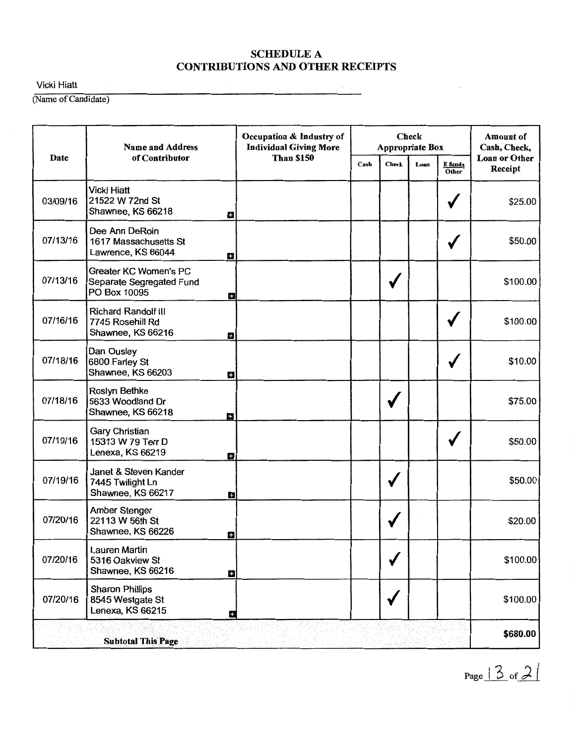Vicki Hiatt

(Name of Candidate)

|          | <b>Name and Address</b>                                                  | Occupation & Industry of<br><b>Individual Giving More</b> |      |       | <b>Check</b><br><b>Appropriate Box</b> |                  | <b>Amount of</b><br>Cash, Check, |
|----------|--------------------------------------------------------------------------|-----------------------------------------------------------|------|-------|----------------------------------------|------------------|----------------------------------|
| Date     | of Contributor                                                           | <b>Than \$150</b>                                         | Cash | Check | Loan                                   | E funds<br>Other | <b>Loan or Other</b><br>Receipt  |
| 03/09/16 | <b>Vicki Hiatt</b><br>21522 W 72nd St<br>Shawnee, KS 66218               | Ω                                                         |      |       |                                        |                  | \$25.00                          |
| 07/13/16 | Dee Ann DeRoin<br>1617 Massachusetts St<br>Lawrence, KS 66044            | Ð                                                         |      |       |                                        |                  | \$50.00                          |
| 07/13/16 | <b>Greater KC Women's PC</b><br>Separate Segregated Fund<br>PO Box 10095 | 8                                                         |      |       |                                        |                  | \$100.00                         |
| 07/16/16 | <b>Richard Randolf III</b><br>7745 Rosehill Rd<br>Shawnee, KS 66216      | ÷                                                         |      |       |                                        |                  | \$100.00                         |
| 07/18/16 | Dan Ousley<br>6800 Farley St<br>Shawnee, KS 66203                        | П                                                         |      |       |                                        | √                | \$10.00                          |
| 07/18/16 | Roslyn Bethke<br>5633 Woodland Dr<br>Shawnee, KS 66218                   | $\frac{1}{2}$                                             |      |       |                                        |                  | \$75.00                          |
| 07/19/16 | Gary Christian<br>15313 W 79 Terr D<br>Lenexa, KS 66219                  | ÷                                                         |      |       |                                        |                  | \$50.00                          |
| 07/19/16 | Janet & Steven Kander<br>7445 Twilight Ln<br>Shawnee, KS 66217           | ÷                                                         |      |       |                                        |                  | \$50.00                          |
| 07/20/16 | Amber Stenger<br>22113 W 56th St<br>Shawnee, KS 66226                    | Ы                                                         |      |       |                                        |                  | \$20.00                          |
| 07/20/16 | Lauren Martin<br>5316 Oakview St<br>Shawnee, KS 66216                    | B                                                         |      |       |                                        |                  | \$100.00                         |
| 07/20/16 | <b>Sharon Phillips</b><br>8545 Westgate St<br>Lenexa, KS 66215           | £.                                                        |      |       |                                        |                  | \$100.00                         |
|          | <b>Subtotal This Page</b>                                                |                                                           | vin  |       |                                        |                  | \$680.00                         |

Page  $|3$  of  $2|$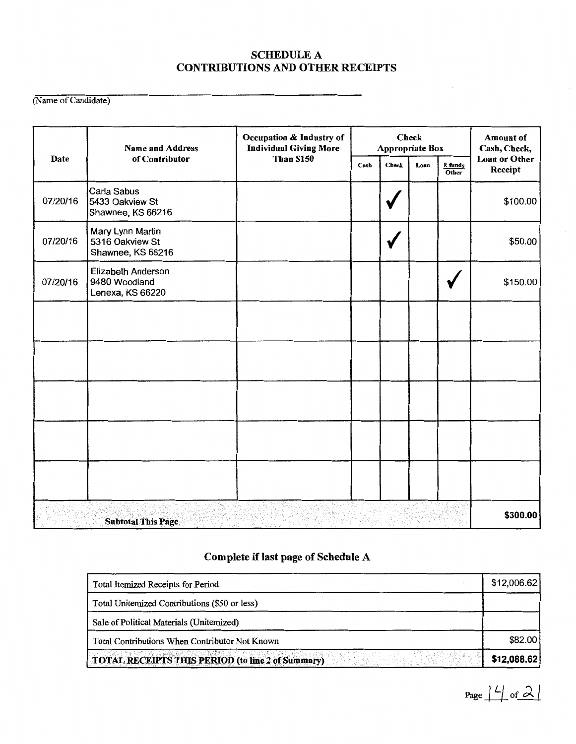(Name of Candidate)

|          | <b>Name and Address</b>                                  | Occupation & Industry of<br><b>Individual Giving More</b> | <b>Check</b><br>Appropriate Box |              |      | <b>Amount of</b><br>Cash, Check,<br>Loan or Other<br>Receipt<br>\$100.00<br>\$50.00<br>\$150.00 |          |
|----------|----------------------------------------------------------|-----------------------------------------------------------|---------------------------------|--------------|------|-------------------------------------------------------------------------------------------------|----------|
| Date     | of Contributor                                           | <b>Than \$150</b>                                         | Cash                            | <b>Check</b> | Loan | E funds<br>Other                                                                                |          |
| 07/20/16 | Carla Sabus<br>5433 Oakview St<br>Shawnee, KS 66216      |                                                           |                                 |              |      |                                                                                                 |          |
| 07/20/16 | Mary Lynn Martin<br>5316 Oakview St<br>Shawnee, KS 66216 |                                                           |                                 | √            |      |                                                                                                 |          |
| 07/20/16 | Elizabeth Anderson<br>9480 Woodland<br>Lenexa, KS 66220  |                                                           |                                 |              |      |                                                                                                 |          |
|          |                                                          |                                                           |                                 |              |      |                                                                                                 |          |
|          |                                                          |                                                           |                                 |              |      |                                                                                                 |          |
|          |                                                          |                                                           |                                 |              |      |                                                                                                 |          |
|          |                                                          |                                                           |                                 |              |      |                                                                                                 |          |
|          |                                                          |                                                           |                                 |              |      |                                                                                                 |          |
|          | <b>Subtotal This Page</b>                                |                                                           |                                 |              |      |                                                                                                 | \$300.00 |

# Complete if last page of Schedule A

| Total Itemized Receipts for Period                | \$12,006.62 |
|---------------------------------------------------|-------------|
| Total Unitemized Contributions (\$50 or less)     |             |
| Sale of Political Materials (Unitemized)          |             |
| Total Contributions When Contributor Not Known    | \$82.00     |
| TOTAL RECEIPTS THIS PERIOD (to line 2 of Summary) | \$12,088.62 |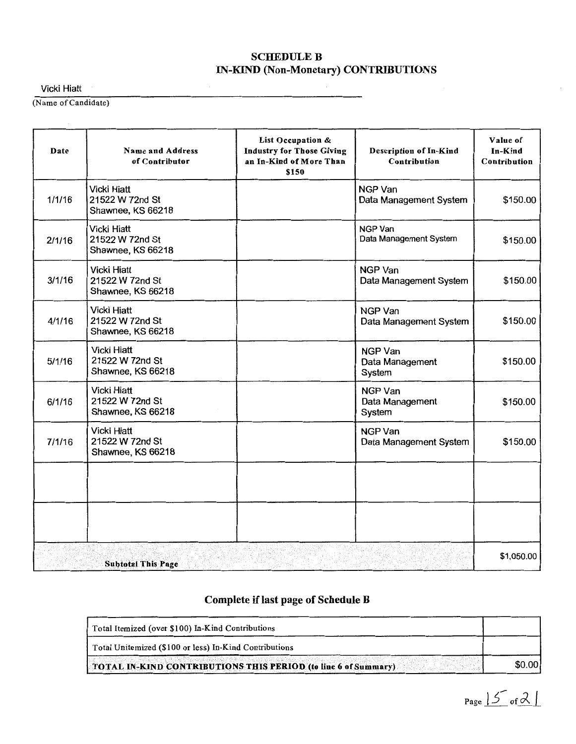# SCHEDULE B IN-KIND (Non-Monetary) CONTRIBUTIONS

Vicki Hiatt

(Name of Candidate)

| Date   | <b>Name and Address</b><br>of Contributor                  | List Occupation &<br><b>Industry for Those Giving</b><br>an In-Kind of More Than<br>\$150 | Description of In-Kind<br>Contribution      | Value of<br>In-Kind<br>Contribution |
|--------|------------------------------------------------------------|-------------------------------------------------------------------------------------------|---------------------------------------------|-------------------------------------|
| 1/1/16 | <b>Vicki Hiatt</b><br>21522 W 72nd St<br>Shawnee, KS 66218 |                                                                                           | <b>NGP Van</b><br>Data Management System    | \$150.00                            |
| 2/1/16 | Vicki Hiatt<br>21522 W 72nd St<br>Shawnee, KS 66218        |                                                                                           | NGP Van<br>Data Management System           | \$150.00                            |
| 3/1/16 | <b>Vicki Hiatt</b><br>21522 W 72nd St<br>Shawnee, KS 66218 |                                                                                           | <b>NGP Van</b><br>Data Management System    | \$150.00                            |
| 4/1/16 | <b>Vicki Hiatt</b><br>21522 W 72nd St<br>Shawnee, KS 66218 |                                                                                           | <b>NGP Van</b><br>Data Management System    | \$150.00                            |
| 5/1/16 | <b>Vicki Hiatt</b><br>21522 W 72nd St<br>Shawnee, KS 66218 |                                                                                           | <b>NGP Van</b><br>Data Management<br>System | \$150.00                            |
| 6/1/16 | <b>Vicki Hiatt</b><br>21522 W 72nd St<br>Shawnee, KS 66218 |                                                                                           | <b>NGP Van</b><br>Data Management<br>System | \$150.00                            |
| 7/1/16 | <b>Vicki Hiatt</b><br>21522 W 72nd St<br>Shawnee, KS 66218 |                                                                                           | NGP Van<br>Data Management System           | \$150.00                            |
|        |                                                            |                                                                                           |                                             |                                     |
|        |                                                            |                                                                                           |                                             |                                     |
|        | <b>Subtotal This Page</b>                                  |                                                                                           |                                             | \$1,050.00                          |

# Complete if last page of Schedule B

| Total Itemized (over \$100) In-Kind Contributions               |        |
|-----------------------------------------------------------------|--------|
| Total Unitemized (\$100 or less) In-Kind Contributions          |        |
| TOTAL IN-KIND CONTRIBUTIONS THIS PERIOD (to line 6 of Summary). | \$0.00 |

Page  $15$  of  $21$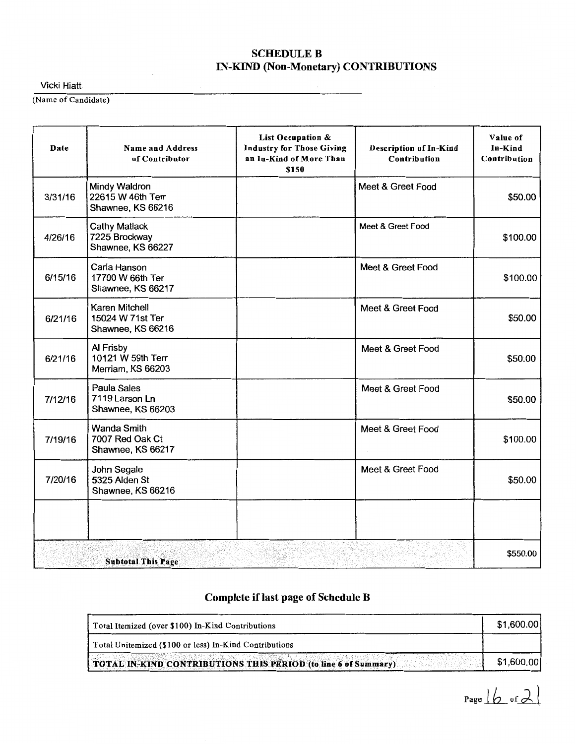### **SCHEDULE B** IN-KIND (Non-Monetary) CONTRIBUTIONS

 $\bar{z}$ 

Vicki Hiatt

(Name of Candidate)

| Date    | <b>Name and Address</b><br>of Contributor                  | List Occupation &<br><b>Industry for Those Giving</b><br>an In-Kind of More Than<br>\$150 | <b>Description of In-Kind</b><br>Contribution | Value of<br>In-Kind<br>Contribution |
|---------|------------------------------------------------------------|-------------------------------------------------------------------------------------------|-----------------------------------------------|-------------------------------------|
| 3/31/16 | Mindy Waldron<br>22615 W 46th Terr<br>Shawnee, KS 66216    |                                                                                           | Meet & Greet Food                             | \$50.00                             |
| 4/26/16 | <b>Cathy Matlack</b><br>7225 Brockway<br>Shawnee, KS 66227 |                                                                                           | Meet & Greet Food                             | \$100.00                            |
| 6/15/16 | Carla Hanson<br>17700 W 66th Ter<br>Shawnee, KS 66217      |                                                                                           | Meet & Greet Food                             | \$100.00                            |
| 6/21/16 | Karen Mitchell<br>15024 W 71st Ter<br>Shawnee, KS 66216    |                                                                                           | Meet & Greet Food                             | \$50.00                             |
| 6/21/16 | Al Frisby<br>10121 W 59th Terr<br>Merriam, KS 66203        |                                                                                           | Meet & Greet Food                             | \$50.00                             |
| 7/12/16 | Paula Sales<br>7119 Larson Ln<br>Shawnee, KS 66203         |                                                                                           | Meet & Greet Food                             | \$50.00                             |
| 7/19/16 | <b>Wanda Smith</b><br>7007 Red Oak Ct<br>Shawnee, KS 66217 |                                                                                           | Meet & Greet Food                             | \$100.00                            |
| 7/20/16 | John Segale<br>5325 Alden St<br>Shawnee, KS 66216          |                                                                                           | Meet & Greet Food                             | \$50.00                             |
|         |                                                            |                                                                                           |                                               |                                     |
|         | <b>Subtotal This Page</b>                                  |                                                                                           |                                               | \$550.00                            |

# Complete if last page of Schedule B

| Total Itemized (over \$100) In-Kind Contributions              | \$1,600.00] |
|----------------------------------------------------------------|-------------|
| Total Unitemized (\$100 or less) In-Kind Contributions         |             |
| TOTAL IN-KIND CONTRIBUTIONS THIS PERIOD (to line 6 of Summary) | \$1,600.00  |

 $Page 16$  of  $2$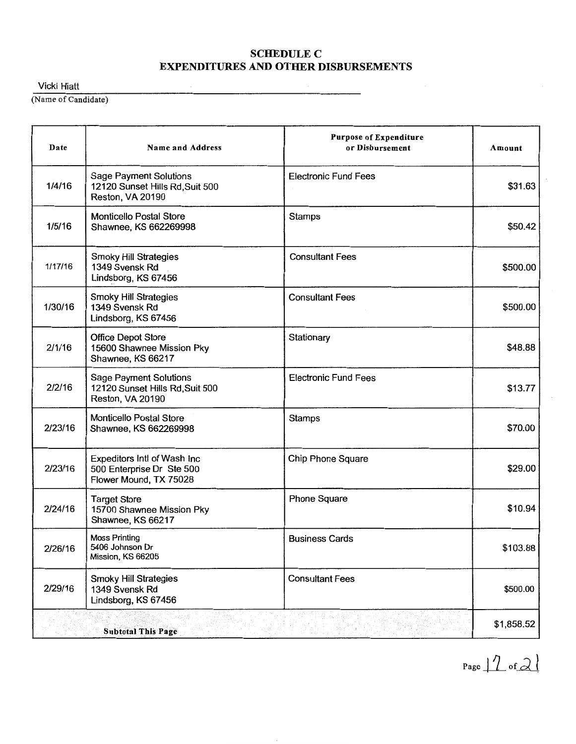$\overline{\phantom{a}}$ 

Vicki Hiatt

(Name of Candidate)

| Date    | <b>Name and Address</b>                                                              | <b>Purpose of Expenditure</b><br>or Disbursement | Amount     |
|---------|--------------------------------------------------------------------------------------|--------------------------------------------------|------------|
| 1/4/16  | <b>Sage Payment Solutions</b><br>12120 Sunset Hills Rd, Suit 500<br>Reston, VA 20190 | <b>Electronic Fund Fees</b>                      | \$31.63    |
| 1/5/16  | Monticello Postal Store<br>Shawnee, KS 662269998                                     | <b>Stamps</b>                                    | \$50.42    |
| 1/17/16 | <b>Smoky Hill Strategies</b><br>1349 Svensk Rd<br>Lindsborg, KS 67456                | <b>Consultant Fees</b>                           | \$500.00   |
| 1/30/16 | <b>Smoky Hill Strategies</b><br>1349 Svensk Rd<br>Lindsborg, KS 67456                | <b>Consultant Fees</b>                           | \$500.00   |
| 2/1/16  | <b>Office Depot Store</b><br>15600 Shawnee Mission Pky<br>Shawnee, KS 66217          | Stationary                                       | \$48.88    |
| 2/2/16  | <b>Sage Payment Solutions</b><br>12120 Sunset Hills Rd, Suit 500<br>Reston, VA 20190 | <b>Electronic Fund Fees</b>                      | \$13.77    |
| 2/23/16 | <b>Monticello Postal Store</b><br>Shawnee, KS 662269998                              | Stamps                                           | \$70.00    |
| 2/23/16 | Expeditors Intl of Wash Inc<br>500 Enterprise Dr Ste 500<br>Flower Mound, TX 75028   | <b>Chip Phone Square</b>                         | \$29.00    |
| 2/24/16 | <b>Target Store</b><br>15700 Shawnee Mission Pky<br>Shawnee, KS 66217                | Phone Square                                     | \$10.94    |
| 2/26/16 | <b>Moss Printing</b><br>5406 Johnson Dr<br>Mission, KS 66205                         | <b>Business Cards</b>                            | \$103.88   |
| 2/29/16 | <b>Smoky Hill Strategies</b><br>1349 Svensk Rd<br>Lindsborg, KS 67456                | <b>Consultant Fees</b>                           | \$500.00   |
|         | <b>Subtotal This Page</b>                                                            |                                                  | \$1,858.52 |

Page  $12$  of  $21$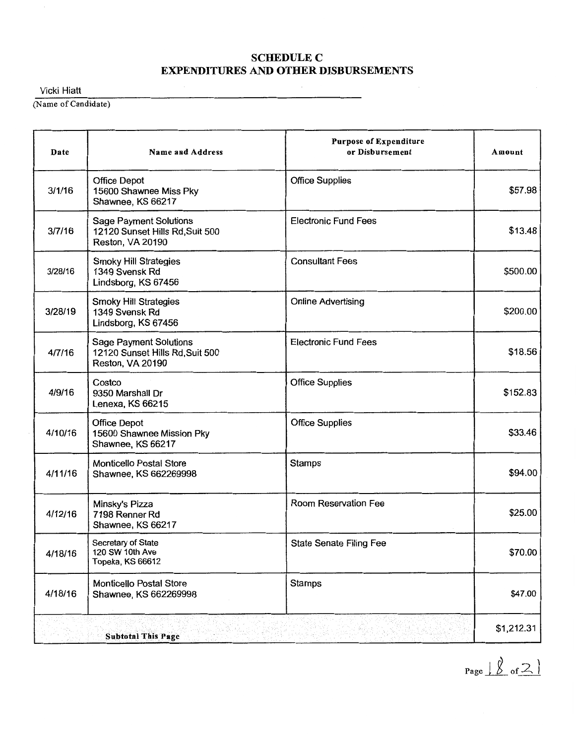Vicki Hiatt

(Name of Candidate)

| Date    | <b>Name and Address</b>                                                              | <b>Purpose of Expenditure</b><br>or Disbursement | Amount     |
|---------|--------------------------------------------------------------------------------------|--------------------------------------------------|------------|
| 3/1/16  | <b>Office Depot</b><br>15600 Shawnee Miss Pky<br>Shawnee, KS 66217                   | <b>Office Supplies</b>                           | \$57.98    |
| 3/7/16  | <b>Sage Payment Solutions</b><br>12120 Sunset Hills Rd, Suit 500<br>Reston, VA 20190 | <b>Electronic Fund Fees</b>                      | \$13.48    |
| 3/28/16 | <b>Smoky Hill Strategies</b><br>1349 Svensk Rd<br>Lindsborg, KS 67456                | <b>Consultant Fees</b>                           | \$500.00   |
| 3/28/19 | <b>Smoky Hill Strategies</b><br>1349 Svensk Rd<br>Lindsborg, KS 67456                | <b>Online Advertising</b>                        | \$200.00   |
| 4/7/16  | <b>Sage Payment Solutions</b><br>12120 Sunset Hills Rd, Suit 500<br>Reston, VA 20190 | <b>Electronic Fund Fees</b>                      | \$18.56    |
| 4/9/16  | Costco<br>9350 Marshall Dr<br>Lenexa, KS 66215                                       | <b>Office Supplies</b>                           | \$152.83   |
| 4/10/16 | <b>Office Depot</b><br>15600 Shawnee Mission Pky<br>Shawnee, KS 66217                | <b>Office Supplies</b>                           | \$33.46    |
| 4/11/16 | <b>Monticello Postal Store</b><br>Shawnee, KS 662269998                              | <b>Stamps</b>                                    | \$94.00    |
| 4/12/16 | Minsky's Pizza<br>7198 Renner Rd<br>Shawnee, KS 66217                                | Room Reservation Fee                             | \$25.00    |
| 4/18/16 | Secretary of State<br>120 SW 10th Ave<br>Topeka, KS 66612                            | State Senate Filing Fee                          | \$70.00    |
| 4/18/16 | <b>Monticello Postal Store</b><br>Shawnee, KS 662269998                              | <b>Stamps</b>                                    | \$47.00    |
|         | <b>Subtotal This Page</b>                                                            |                                                  | \$1,212.31 |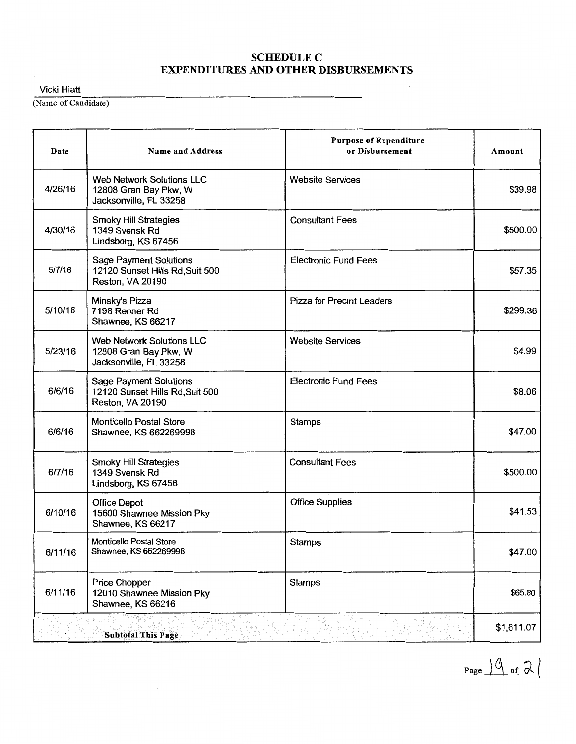Vicki Hiatt

(Name of Candidate)

| Date    | <b>Name and Address</b>                                                              | <b>Purpose of Expenditure</b><br>or Disbursement | Amount     |
|---------|--------------------------------------------------------------------------------------|--------------------------------------------------|------------|
| 4/26/16 | <b>Web Network Solutions LLC</b><br>12808 Gran Bay Pkw, W<br>Jacksonville, FL 33258  | <b>Website Services</b>                          | \$39.98    |
| 4/30/16 | <b>Smoky Hill Strategies</b><br>1349 Svensk Rd<br>Lindsborg, KS 67456                | <b>Consultant Fees</b>                           | \$500.00   |
| 5/7/16  | <b>Sage Payment Solutions</b><br>12120 Sunset Hills Rd, Suit 500<br>Reston, VA 20190 | <b>Electronic Fund Fees</b>                      | \$57.35    |
| 5/10/16 | Minsky's Pizza<br>7198 Renner Rd<br>Shawnee, KS 66217                                | <b>Pizza for Precint Leaders</b>                 | \$299.36   |
| 5/23/16 | <b>Web Network Solutions LLC</b><br>12808 Gran Bay Pkw, W<br>Jacksonville, FL 33258  | <b>Website Services</b>                          | \$4.99     |
| 6/6/16  | <b>Sage Payment Solutions</b><br>12120 Sunset Hills Rd, Suit 500<br>Reston, VA 20190 | <b>Electronic Fund Fees</b>                      | \$8.06     |
| 6/6/16  | <b>Monticello Postal Store</b><br>Shawnee, KS 662269998                              | <b>Stamps</b>                                    | \$47.00    |
| 6/7/16  | <b>Smoky Hill Strategies</b><br>1349 Svensk Rd<br>Lindsborg, KS 67456                | <b>Consultant Fees</b>                           | \$500.00   |
| 6/10/16 | <b>Office Depot</b><br>15600 Shawnee Mission Pky<br>Shawnee, KS 66217                | <b>Office Supplies</b>                           | \$41.53    |
| 6/11/16 | <b>Monticello Postal Store</b><br>Shawnee, KS 662269998                              | <b>Stamps</b>                                    | \$47.00    |
| 6/11/16 | Price Chopper<br>12010 Shawnee Mission Pky<br>Shawnee, KS 66216                      | <b>Stamps</b>                                    | \$65.80    |
|         | <b>Subtotal This Page</b>                                                            |                                                  | \$1,611.07 |

Page  $\frac{10}{10}$  of  $\frac{2}{10}$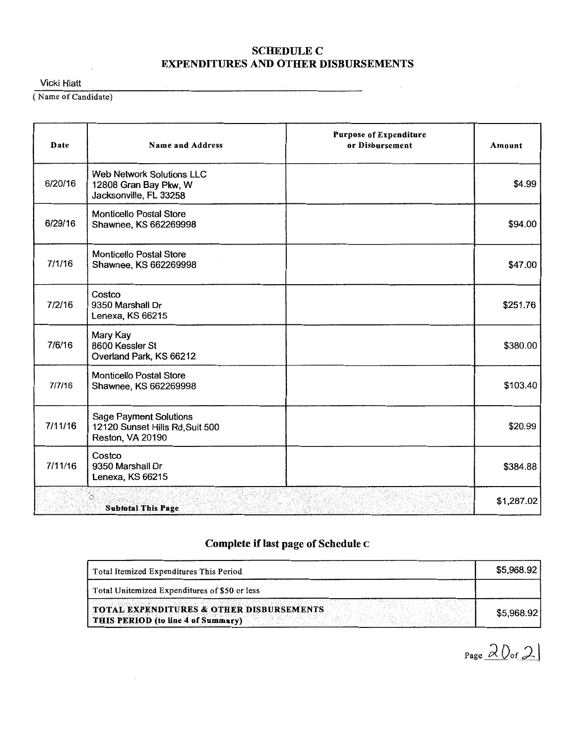$\sim$ 

Vicki Hiatt

(Name of Candidate)

 $\bar{\mathcal{A}}$ 

| Date    | <b>Name and Address</b>                                                              | <b>Purpose of Expenditure</b><br>or Disbursement | Amount     |
|---------|--------------------------------------------------------------------------------------|--------------------------------------------------|------------|
| 6/20/16 | <b>Web Network Solutions LLC</b><br>12808 Gran Bay Pkw, W<br>Jacksonville, FL 33258  |                                                  | \$4.99     |
| 6/29/16 | <b>Monticello Postal Store</b><br>Shawnee, KS 662269998                              |                                                  | \$94.00    |
| 7/1/16  | <b>Monticello Postal Store</b><br>Shawnee, KS 662269998                              |                                                  | \$47.00    |
| 7/2/16  | Costco<br>9350 Marshall Dr<br>Lenexa, KS 66215                                       |                                                  | \$251.76   |
| 7/6/16  | Mary Kay<br>8600 Kessler St<br>Overland Park, KS 66212                               |                                                  | \$380.00   |
| 7/7/16  | <b>Monticello Postal Store</b><br>Shawnee, KS 662269998                              |                                                  | \$103.40   |
| 7/11/16 | <b>Sage Payment Solutions</b><br>12120 Sunset Hills Rd, Suit 500<br>Reston, VA 20190 |                                                  | \$20.99    |
| 7/11/16 | Costco<br>9350 Marshall Dr<br>Lenexa, KS 66215                                       |                                                  | \$384.88   |
|         | Ò.<br><b>Subtotal This Page</b>                                                      |                                                  | \$1,287.02 |

# Complete if last page of Schedule c

| Total Itemized Expenditures This Period                                                   |            |
|-------------------------------------------------------------------------------------------|------------|
| Total Unitemized Expenditures of \$50 or less                                             |            |
| <b>TOTAL EXPENDITURES &amp; OTHER DISBURSEMENTS</b><br>THIS PERIOD (to line 4 of Summary) | \$5,968.92 |

Page  $20$  of  $2$